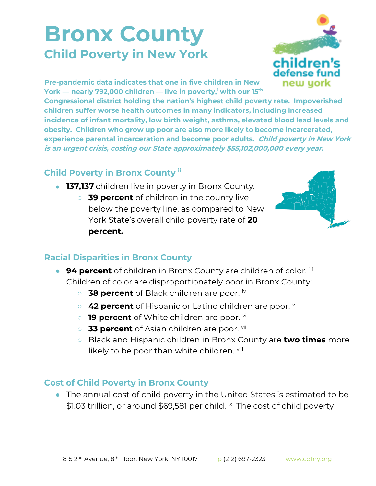## **Bronx County Child Poverty in New York**



**Pre-pandemic data indicates that one in five children in New York — nearly 792,000 children — live in poverty,<sup>i</sup> with our 15th**

**Congressional district holding the nation's highest child poverty rate. Impoverished children suffer worse health outcomes in many indicators, including increased incidence of infant mortality, low birth weight, asthma, elevated blood lead levels and obesity. Children who grow up poor are also more likely to become incarcerated, experience parental incarceration and become poor adults. Child poverty in New York is an urgent crisis, costing our State approximately \$55,102,000,000 every year.**

## **Child Poverty in Bronx County ii**

- **137,137** children live in poverty in Bronx County.
	- **39 percent** of children in the county live below the poverty line, as compared to New York State's overall child poverty rate of **20 percent.**



## **Racial Disparities in Bronx County**

- **94 percent** of children in Bronx County are children of color. iii Children of color are disproportionately poor in Bronx County:
	- **38 percent** of Black children are poor. iv
	- **42 percent** of Hispanic or Latino children are poor.
	- **19 percent** of White children are poor. <sup>vi</sup>
	- **33 percent** of Asian children are poor. Vil
	- Black and Hispanic children in Bronx County are **two times** more likely to be poor than white children. Viii

## **Cost of Child Poverty in Bronx County**

● The annual cost of child poverty in the United States is estimated to be \$1.03 trillion, or around \$69,581 per child. <sup>ix</sup> The cost of child poverty